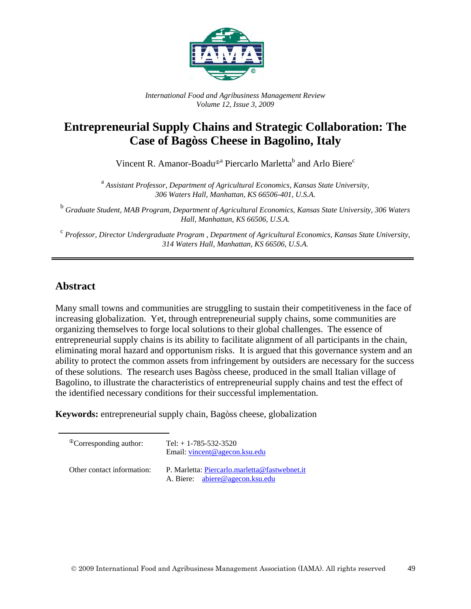

*International Food and Agribusiness Management Review Volume 12, Issue 3, 2009*

# **Entrepreneurial Supply Chains and Strategic Collaboration: The Case of Bagòss Cheese in Bagolino, Italy**

Vincent R. Amanor-Boadu<sup>®</sup><sup>a</sup> Piercarlo Marletta<sup>b</sup> and Arlo Biere<sup>c</sup>

<sup>a</sup> Assistant Professor, Department of Agricultural Economics, Kansas State University, *306 Waters Hall, Manhattan, KS 66506-401, U.S.A.*

<sup>b</sup> *Graduate Student, MAB Program, Department of Agricultural Economics, Kansas State University, 306 Waters Hall, Manhattan, KS 66506, U.S.A.*

<sup>c</sup> *Professor, Director Undergraduate Program , Department of Agricultural Economics, Kansas State University, 314 Waters Hall, Manhattan, KS 66506, U.S.A.*

### **Abstract**

Many small towns and communities are struggling to sustain their competitiveness in the face of increasing globalization. Yet, through entrepreneurial supply chains, some communities are organizing themselves to forge local solutions to their global challenges. The essence of entrepreneurial supply chains is its ability to facilitate alignment of all participants in the chain, eliminating moral hazard and opportunism risks. It is argued that this governance system and an ability to protect the common assets from infringement by outsiders are necessary for the success of these solutions. The research uses Bagòss cheese, produced in the small Italian village of Bagolino, to illustrate the characteristics of entrepreneurial supply chains and test the effect of the identified necessary conditions for their successful implementation.

**Keywords:** entrepreneurial supply chain, Bagòss cheese, globalization

| <sup>The</sup> Corresponding author: | Tel: $+ 1 - 785 - 532 - 3520$<br>Email: <u>vincent@agecon.ksu.edu</u>            |
|--------------------------------------|----------------------------------------------------------------------------------|
| Other contact information:           | P. Marletta: Piercarlo.marletta@fastwebnet.it<br>A. Biere: abiere@agecon.ksu.edu |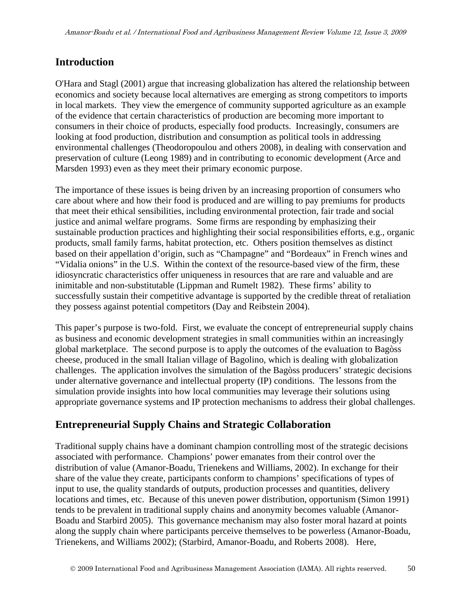## **Introduction**

O'Hara and Stagl (2001) argue that increasing globalization has altered the relationship between economics and society because local alternatives are emerging as strong competitors to imports in local markets. They view the emergence of community supported agriculture as an example of the evidence that certain characteristics of production are becoming more important to consumers in their choice of products, especially food products. Increasingly, consumers are looking at food production, distribution and consumption as political tools in addressing environmental challenges (Theodoropoulou and others 2008), in dealing with conservation and preservation of culture (Leong 1989) and in contributing to economic development (Arce and Marsden 1993) even as they meet their primary economic purpose.

The importance of these issues is being driven by an increasing proportion of consumers who care about where and how their food is produced and are willing to pay premiums for products that meet their ethical sensibilities, including environmental protection, fair trade and social justice and animal welfare programs. Some firms are responding by emphasizing their sustainable production practices and highlighting their social responsibilities efforts, e.g., organic products, small family farms, habitat protection, etc. Others position themselves as distinct based on their appellation d'origin, such as "Champagne" and "Bordeaux" in French wines and "Vidalia onions" in the U.S. Within the context of the resource-based view of the firm, these idiosyncratic characteristics offer uniqueness in resources that are rare and valuable and are inimitable and non-substitutable (Lippman and Rumelt 1982). These firms' ability to successfully sustain their competitive advantage is supported by the credible threat of retaliation they possess against potential competitors (Day and Reibstein 2004).

This paper's purpose is two-fold. First, we evaluate the concept of entrepreneurial supply chains as business and economic development strategies in small communities within an increasingly global marketplace. The second purpose is to apply the outcomes of the evaluation to Bagòss cheese, produced in the small Italian village of Bagolino, which is dealing with globalization challenges. The application involves the simulation of the Bagòss producers' strategic decisions under alternative governance and intellectual property (IP) conditions. The lessons from the simulation provide insights into how local communities may leverage their solutions using appropriate governance systems and IP protection mechanisms to address their global challenges.

# **Entrepreneurial Supply Chains and Strategic Collaboration**

Traditional supply chains have a dominant champion controlling most of the strategic decisions associated with performance. Champions' power emanates from their control over the distribution of value (Amanor-Boadu, Trienekens and Williams, 2002). In exchange for their share of the value they create, participants conform to champions' specifications of types of input to use, the quality standards of outputs, production processes and quantities, delivery locations and times, etc. Because of this uneven power distribution, opportunism (Simon 1991) tends to be prevalent in traditional supply chains and anonymity becomes valuable (Amanor-Boadu and Starbird 2005). This governance mechanism may also foster moral hazard at points along the supply chain where participants perceive themselves to be powerless (Amanor-Boadu, Trienekens, and Williams 2002); (Starbird, Amanor-Boadu, and Roberts 2008). Here,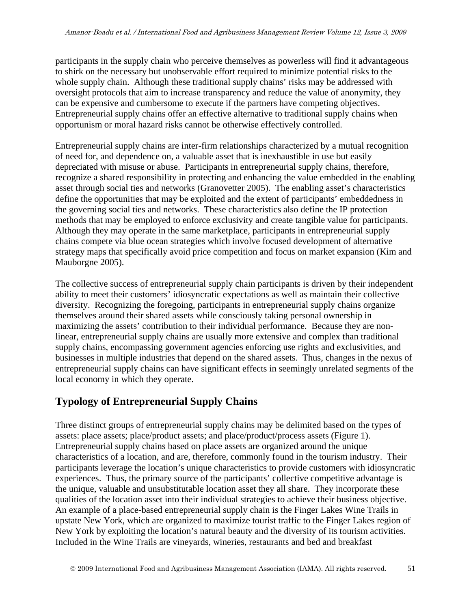participants in the supply chain who perceive themselves as powerless will find it advantageous to shirk on the necessary but unobservable effort required to minimize potential risks to the whole supply chain. Although these traditional supply chains' risks may be addressed with oversight protocols that aim to increase transparency and reduce the value of anonymity, they can be expensive and cumbersome to execute if the partners have competing objectives. Entrepreneurial supply chains offer an effective alternative to traditional supply chains when opportunism or moral hazard risks cannot be otherwise effectively controlled.

Entrepreneurial supply chains are inter-firm relationships characterized by a mutual recognition of need for, and dependence on, a valuable asset that is inexhaustible in use but easily depreciated with misuse or abuse. Participants in entrepreneurial supply chains, therefore, recognize a shared responsibility in protecting and enhancing the value embedded in the enabling asset through social ties and networks (Granovetter 2005). The enabling asset's characteristics define the opportunities that may be exploited and the extent of participants' embeddedness in the governing social ties and networks. These characteristics also define the IP protection methods that may be employed to enforce exclusivity and create tangible value for participants. Although they may operate in the same marketplace, participants in entrepreneurial supply chains compete via blue ocean strategies which involve focused development of alternative strategy maps that specifically avoid price competition and focus on market expansion (Kim and Mauborgne 2005).

The collective success of entrepreneurial supply chain participants is driven by their independent ability to meet their customers' idiosyncratic expectations as well as maintain their collective diversity. Recognizing the foregoing, participants in entrepreneurial supply chains organize themselves around their shared assets while consciously taking personal ownership in maximizing the assets' contribution to their individual performance. Because they are nonlinear, entrepreneurial supply chains are usually more extensive and complex than traditional supply chains, encompassing government agencies enforcing use rights and exclusivities, and businesses in multiple industries that depend on the shared assets. Thus, changes in the nexus of entrepreneurial supply chains can have significant effects in seemingly unrelated segments of the local economy in which they operate.

# **Typology of Entrepreneurial Supply Chains**

Three distinct groups of entrepreneurial supply chains may be delimited based on the types of assets: place assets; place/product assets; and place/product/process assets (Figure 1). Entrepreneurial supply chains based on place assets are organized around the unique characteristics of a location, and are, therefore, commonly found in the tourism industry. Their participants leverage the location's unique characteristics to provide customers with idiosyncratic experiences. Thus, the primary source of the participants' collective competitive advantage is the unique, valuable and unsubstitutable location asset they all share. They incorporate these qualities of the location asset into their individual strategies to achieve their business objective. An example of a place-based entrepreneurial supply chain is the Finger Lakes Wine Trails in upstate New York, which are organized to maximize tourist traffic to the Finger Lakes region of New York by exploiting the location's natural beauty and the diversity of its tourism activities. Included in the Wine Trails are vineyards, wineries, restaurants and bed and breakfast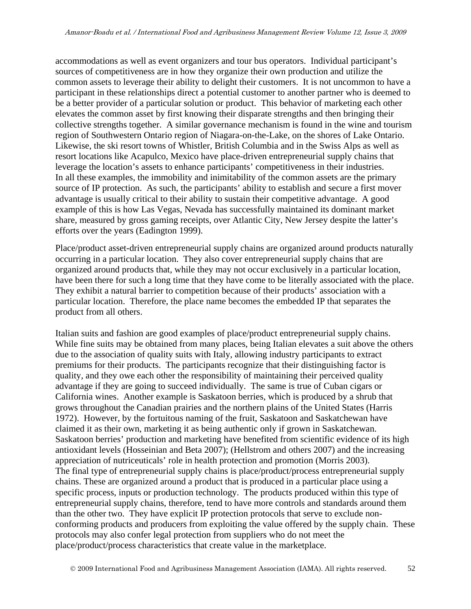accommodations as well as event organizers and tour bus operators. Individual participant's sources of competitiveness are in how they organize their own production and utilize the common assets to leverage their ability to delight their customers. It is not uncommon to have a participant in these relationships direct a potential customer to another partner who is deemed to be a better provider of a particular solution or product. This behavior of marketing each other elevates the common asset by first knowing their disparate strengths and then bringing their collective strengths together. A similar governance mechanism is found in the wine and tourism region of Southwestern Ontario region of Niagara-on-the-Lake, on the shores of Lake Ontario. Likewise, the ski resort towns of Whistler, British Columbia and in the Swiss Alps as well as resort locations like Acapulco, Mexico have place-driven entrepreneurial supply chains that leverage the location's assets to enhance participants' competitiveness in their industries. In all these examples, the immobility and inimitability of the common assets are the primary source of IP protection. As such, the participants' ability to establish and secure a first mover advantage is usually critical to their ability to sustain their competitive advantage. A good example of this is how Las Vegas, Nevada has successfully maintained its dominant market share, measured by gross gaming receipts, over Atlantic City, New Jersey despite the latter's efforts over the years (Eadington 1999).

Place/product asset-driven entrepreneurial supply chains are organized around products naturally occurring in a particular location. They also cover entrepreneurial supply chains that are organized around products that, while they may not occur exclusively in a particular location, have been there for such a long time that they have come to be literally associated with the place. They exhibit a natural barrier to competition because of their products' association with a particular location. Therefore, the place name becomes the embedded IP that separates the product from all others.

Italian suits and fashion are good examples of place/product entrepreneurial supply chains. While fine suits may be obtained from many places, being Italian elevates a suit above the others due to the association of quality suits with Italy, allowing industry participants to extract premiums for their products. The participants recognize that their distinguishing factor is quality, and they owe each other the responsibility of maintaining their perceived quality advantage if they are going to succeed individually. The same is true of Cuban cigars or California wines. Another example is Saskatoon berries, which is produced by a shrub that grows throughout the Canadian prairies and the northern plains of the United States (Harris 1972). However, by the fortuitous naming of the fruit, Saskatoon and Saskatchewan have claimed it as their own, marketing it as being authentic only if grown in Saskatchewan. Saskatoon berries' production and marketing have benefited from scientific evidence of its high antioxidant levels (Hosseinian and Beta 2007); (Hellstrom and others 2007) and the increasing appreciation of nutriceuticals' role in health protection and promotion (Morris 2003). The final type of entrepreneurial supply chains is place/product/process entrepreneurial supply chains. These are organized around a product that is produced in a particular place using a specific process, inputs or production technology. The products produced within this type of entrepreneurial supply chains, therefore, tend to have more controls and standards around them than the other two. They have explicit IP protection protocols that serve to exclude nonconforming products and producers from exploiting the value offered by the supply chain. These protocols may also confer legal protection from suppliers who do not meet the place/product/process characteristics that create value in the marketplace.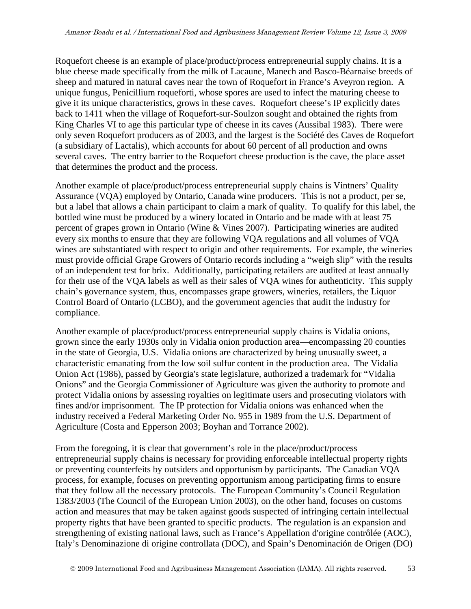Roquefort cheese is an example of place/product/process entrepreneurial supply chains. It is a blue cheese made specifically from the milk of Lacaune, Manech and Basco-Béarnaise breeds of sheep and matured in natural caves near the town of Roquefort in France's Aveyron region. A unique fungus, Penicillium roqueforti, whose spores are used to infect the maturing cheese to give it its unique characteristics, grows in these caves. Roquefort cheese's IP explicitly dates back to 1411 when the village of Roquefort-sur-Soulzon sought and obtained the rights from King Charles VI to age this particular type of cheese in its caves (Aussibal 1983). There were only seven Roquefort producers as of 2003, and the largest is the Société des Caves de Roquefort (a subsidiary of Lactalis), which accounts for about 60 percent of all production and owns several caves. The entry barrier to the Roquefort cheese production is the cave, the place asset that determines the product and the process.

Another example of place/product/process entrepreneurial supply chains is Vintners' Quality Assurance (VQA) employed by Ontario, Canada wine producers. This is not a product, per se, but a label that allows a chain participant to claim a mark of quality. To qualify for this label, the bottled wine must be produced by a winery located in Ontario and be made with at least 75 percent of grapes grown in Ontario (Wine & Vines 2007). Participating wineries are audited every six months to ensure that they are following VQA regulations and all volumes of VQA wines are substantiated with respect to origin and other requirements. For example, the wineries must provide official Grape Growers of Ontario records including a "weigh slip" with the results of an independent test for brix. Additionally, participating retailers are audited at least annually for their use of the VQA labels as well as their sales of VQA wines for authenticity. This supply chain's governance system, thus, encompasses grape growers, wineries, retailers, the Liquor Control Board of Ontario (LCBO), and the government agencies that audit the industry for compliance.

Another example of place/product/process entrepreneurial supply chains is Vidalia onions, grown since the early 1930s only in Vidalia onion production area—encompassing 20 counties in the state of Georgia, U.S. Vidalia onions are characterized by being unusually sweet, a characteristic emanating from the low soil sulfur content in the production area. The Vidalia Onion Act (1986), passed by Georgia's state legislature, authorized a trademark for "Vidalia Onions" and the Georgia Commissioner of Agriculture was given the authority to promote and protect Vidalia onions by assessing royalties on legitimate users and prosecuting violators with fines and/or imprisonment. The IP protection for Vidalia onions was enhanced when the industry received a Federal Marketing Order No. 955 in 1989 from the U.S. Department of Agriculture (Costa and Epperson 2003; Boyhan and Torrance 2002).

From the foregoing, it is clear that government's role in the place/product/process entrepreneurial supply chains is necessary for providing enforceable intellectual property rights or preventing counterfeits by outsiders and opportunism by participants. The Canadian VQA process, for example, focuses on preventing opportunism among participating firms to ensure that they follow all the necessary protocols. The European Community's Council Regulation 1383/2003 (The Council of the European Union 2003), on the other hand, focuses on customs action and measures that may be taken against goods suspected of infringing certain intellectual property rights that have been granted to specific products. The regulation is an expansion and strengthening of existing national laws, such as France's Appellation d'origine contrôlée (AOC), Italy's Denominazione di origine controllata (DOC), and Spain's Denominación de Origen (DO)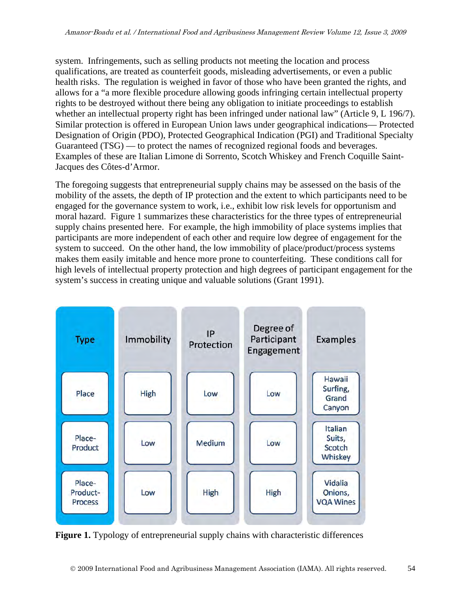system. Infringements, such as selling products not meeting the location and process qualifications, are treated as counterfeit goods, misleading advertisements, or even a public health risks. The regulation is weighed in favor of those who have been granted the rights, and allows for a "a more flexible procedure allowing goods infringing certain intellectual property rights to be destroyed without there being any obligation to initiate proceedings to establish whether an intellectual property right has been infringed under national law" (Article 9, L 196/7). Similar protection is offered in European Union laws under geographical indications— Protected Designation of Origin (PDO), Protected Geographical Indication (PGI) and Traditional Specialty Guaranteed (TSG) — to protect the names of recognized regional foods and beverages. Examples of these are Italian Limone di Sorrento, Scotch Whiskey and French Coquille Saint-Jacques des Côtes-d'Armor.

The foregoing suggests that entrepreneurial supply chains may be assessed on the basis of the mobility of the assets, the depth of IP protection and the extent to which participants need to be engaged for the governance system to work, i.e., exhibit low risk levels for opportunism and moral hazard. Figure 1 summarizes these characteristics for the three types of entrepreneurial supply chains presented here. For example, the high immobility of place systems implies that participants are more independent of each other and require low degree of engagement for the system to succeed. On the other hand, the low immobility of place/product/process systems makes them easily imitable and hence more prone to counterfeiting. These conditions call for high levels of intellectual property protection and high degrees of participant engagement for the system's success in creating unique and valuable solutions (Grant 1991).



**Figure 1.** Typology of entrepreneurial supply chains with characteristic differences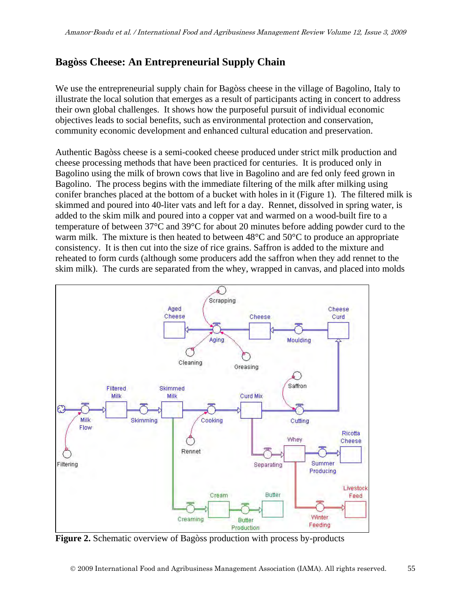# **Bagòss Cheese: An Entrepreneurial Supply Chain**

We use the entrepreneurial supply chain for Bagòss cheese in the village of Bagolino, Italy to illustrate the local solution that emerges as a result of participants acting in concert to address their own global challenges. It shows how the purposeful pursuit of individual economic objectives leads to social benefits, such as environmental protection and conservation, community economic development and enhanced cultural education and preservation.

Authentic Bagòss cheese is a semi-cooked cheese produced under strict milk production and cheese processing methods that have been practiced for centuries. It is produced only in Bagolino using the milk of brown cows that live in Bagolino and are fed only feed grown in Bagolino. The process begins with the immediate filtering of the milk after milking using conifer branches placed at the bottom of a bucket with holes in it (Figure 1). The filtered milk is skimmed and poured into 40-liter vats and left for a day. Rennet, dissolved in spring water, is added to the skim milk and poured into a copper vat and warmed on a wood-built fire to a temperature of between 37°C and 39°C for about 20 minutes before adding powder curd to the warm milk. The mixture is then heated to between 48<sup>o</sup>C and 50<sup>o</sup>C to produce an appropriate consistency. It is then cut into the size of rice grains. Saffron is added to the mixture and reheated to form curds (although some producers add the saffron when they add rennet to the skim milk). The curds are separated from the whey, wrapped in canvas, and placed into molds



**Figure 2.** Schematic overview of Bagòss production with process by-products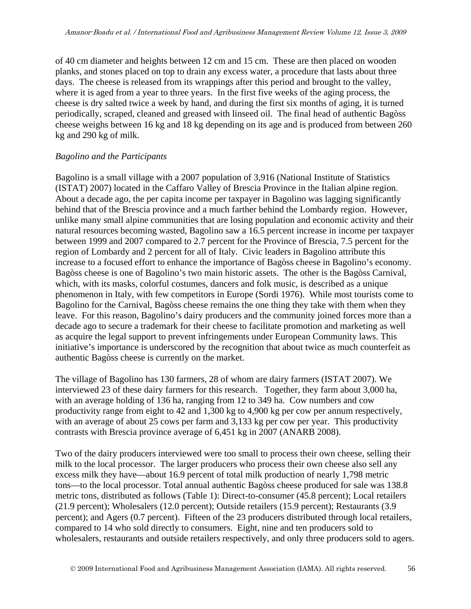of 40 cm diameter and heights between 12 cm and 15 cm. These are then placed on wooden planks, and stones placed on top to drain any excess water, a procedure that lasts about three days. The cheese is released from its wrappings after this period and brought to the valley, where it is aged from a year to three years. In the first five weeks of the aging process, the cheese is dry salted twice a week by hand, and during the first six months of aging, it is turned periodically, scraped, cleaned and greased with linseed oil. The final head of authentic Bagòss cheese weighs between 16 kg and 18 kg depending on its age and is produced from between 260 kg and 290 kg of milk.

#### *Bagolino and the Participants*

Bagolino is a small village with a 2007 population of 3,916 (National Institute of Statistics (ISTAT) 2007) located in the Caffaro Valley of Brescia Province in the Italian alpine region. About a decade ago, the per capita income per taxpayer in Bagolino was lagging significantly behind that of the Brescia province and a much farther behind the Lombardy region. However, unlike many small alpine communities that are losing population and economic activity and their natural resources becoming wasted, Bagolino saw a 16.5 percent increase in income per taxpayer between 1999 and 2007 compared to 2.7 percent for the Province of Brescia, 7.5 percent for the region of Lombardy and 2 percent for all of Italy. Civic leaders in Bagolino attribute this increase to a focused effort to enhance the importance of Bagòss cheese in Bagolino's economy. Bagòss cheese is one of Bagolino's two main historic assets. The other is the Bagòss Carnival, which, with its masks, colorful costumes, dancers and folk music, is described as a unique phenomenon in Italy, with few competitors in Europe (Sordi 1976). While most tourists come to Bagolino for the Carnival, Bagòss cheese remains the one thing they take with them when they leave. For this reason, Bagolino's dairy producers and the community joined forces more than a decade ago to secure a trademark for their cheese to facilitate promotion and marketing as well as acquire the legal support to prevent infringements under European Community laws. This initiative's importance is underscored by the recognition that about twice as much counterfeit as authentic Bagòss cheese is currently on the market.

The village of Bagolino has 130 farmers, 28 of whom are dairy farmers (ISTAT 2007). We interviewed 23 of these dairy farmers for this research. Together, they farm about 3,000 ha, with an average holding of 136 ha, ranging from 12 to 349 ha. Cow numbers and cow productivity range from eight to 42 and 1,300 kg to 4,900 kg per cow per annum respectively, with an average of about 25 cows per farm and 3,133 kg per cow per year. This productivity contrasts with Brescia province average of 6,451 kg in 2007 (ANARB 2008).

Two of the dairy producers interviewed were too small to process their own cheese, selling their milk to the local processor. The larger producers who process their own cheese also sell any excess milk they have—about 16.9 percent of total milk production of nearly 1,798 metric tons—to the local processor. Total annual authentic Bagòss cheese produced for sale was 138.8 metric tons, distributed as follows (Table 1): Direct-to-consumer (45.8 percent); Local retailers (21.9 percent); Wholesalers (12.0 percent); Outside retailers (15.9 percent); Restaurants (3.9 percent); and Agers (0.7 percent). Fifteen of the 23 producers distributed through local retailers, compared to 14 who sold directly to consumers. Eight, nine and ten producers sold to wholesalers, restaurants and outside retailers respectively, and only three producers sold to agers.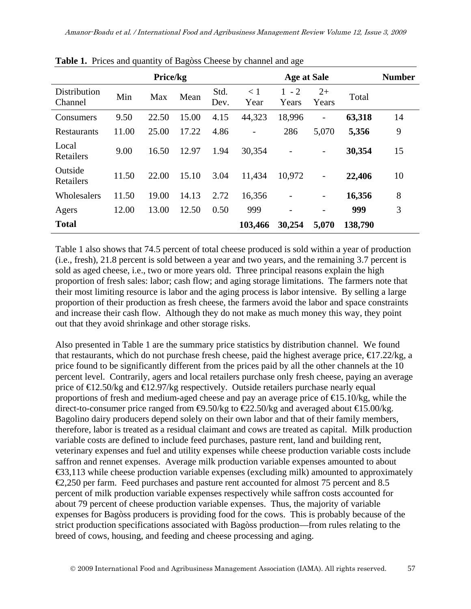|                         |       | Price/kg |       |              |                          | <b>Age at Sale</b>       |                          |         | <b>Number</b> |
|-------------------------|-------|----------|-------|--------------|--------------------------|--------------------------|--------------------------|---------|---------------|
| Distribution<br>Channel | Min   | Max      | Mean  | Std.<br>Dev. | < 1<br>Year              | $1 - 2$<br>Years         | $2+$<br>Years            | Total   |               |
| Consumers               | 9.50  | 22.50    | 15.00 | 4.15         | 44,323                   | 18,996                   | $\overline{a}$           | 63,318  | 14            |
| Restaurants             | 11.00 | 25.00    | 17.22 | 4.86         | $\overline{\phantom{0}}$ | 286                      | 5,070                    | 5,356   | 9             |
| Local<br>Retailers      | 9.00  | 16.50    | 12.97 | 1.94         | 30,354                   |                          |                          | 30,354  | 15            |
| Outside<br>Retailers    | 11.50 | 22.00    | 15.10 | 3.04         | 11,434                   | 10,972                   | $\overline{a}$           | 22,406  | 10            |
| Wholesalers             | 11.50 | 19.00    | 14.13 | 2.72         | 16,356                   | $\overline{a}$           | $\overline{\phantom{0}}$ | 16,356  | 8             |
| Agers                   | 12.00 | 13.00    | 12.50 | 0.50         | 999                      | $\overline{\phantom{a}}$ |                          | 999     | 3             |
| <b>Total</b>            |       |          |       |              | 103,466                  | 30,254                   | 5,070                    | 138,790 |               |

**Table 1.** Prices and quantity of Bagòss Cheese by channel and age

Table 1 also shows that 74.5 percent of total cheese produced is sold within a year of production (i.e., fresh), 21.8 percent is sold between a year and two years, and the remaining 3.7 percent is sold as aged cheese, i.e., two or more years old. Three principal reasons explain the high proportion of fresh sales: labor; cash flow; and aging storage limitations. The farmers note that their most limiting resource is labor and the aging process is labor intensive. By selling a large proportion of their production as fresh cheese, the farmers avoid the labor and space constraints and increase their cash flow. Although they do not make as much money this way, they point out that they avoid shrinkage and other storage risks.

Also presented in Table 1 are the summary price statistics by distribution channel. We found that restaurants, which do not purchase fresh cheese, paid the highest average price,  $\epsilon$ 17.22/kg, a price found to be significantly different from the prices paid by all the other channels at the 10 percent level. Contrarily, agers and local retailers purchase only fresh cheese, paying an average price of  $\text{E}12.50$ /kg and  $\text{E}12.97$ /kg respectively. Outside retailers purchase nearly equal proportions of fresh and medium-aged cheese and pay an average price of  $\epsilon$ 15.10/kg, while the direct-to-consumer price ranged from  $\Theta$ .50/kg to  $\epsilon$ 22.50/kg and averaged about  $\epsilon$ 15.00/kg. Bagolino dairy producers depend solely on their own labor and that of their family members, therefore, labor is treated as a residual claimant and cows are treated as capital. Milk production variable costs are defined to include feed purchases, pasture rent, land and building rent, veterinary expenses and fuel and utility expenses while cheese production variable costs include saffron and rennet expenses. Average milk production variable expenses amounted to about €33,113 while cheese production variable expenses (excluding milk) amounted to approximately  $\epsilon$ 2,250 per farm. Feed purchases and pasture rent accounted for almost 75 percent and 8.5 percent of milk production variable expenses respectively while saffron costs accounted for about 79 percent of cheese production variable expenses. Thus, the majority of variable expenses for Bagòss producers is providing food for the cows. This is probably because of the strict production specifications associated with Bagòss production—from rules relating to the breed of cows, housing, and feeding and cheese processing and aging.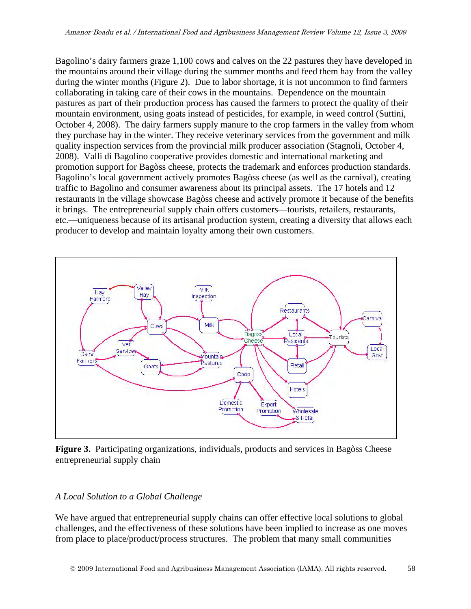Bagolino's dairy farmers graze 1,100 cows and calves on the 22 pastures they have developed in the mountains around their village during the summer months and feed them hay from the valley during the winter months (Figure 2). Due to labor shortage, it is not uncommon to find farmers collaborating in taking care of their cows in the mountains. Dependence on the mountain pastures as part of their production process has caused the farmers to protect the quality of their mountain environment, using goats instead of pesticides, for example, in weed control (Suttini, October 4, 2008). The dairy farmers supply manure to the crop farmers in the valley from whom they purchase hay in the winter. They receive veterinary services from the government and milk quality inspection services from the provincial milk producer association (Stagnoli, October 4, 2008). Valli di Bagolino cooperative provides domestic and international marketing and promotion support for Bagòss cheese, protects the trademark and enforces production standards. Bagolino's local government actively promotes Bagòss cheese (as well as the carnival), creating traffic to Bagolino and consumer awareness about its principal assets. The 17 hotels and 12 restaurants in the village showcase Bagòss cheese and actively promote it because of the benefits it brings. The entrepreneurial supply chain offers customers—tourists, retailers, restaurants, etc.—uniqueness because of its artisanal production system, creating a diversity that allows each producer to develop and maintain loyalty among their own customers.



**Figure 3.** Participating organizations, individuals, products and services in Bagòss Cheese entrepreneurial supply chain

#### *A Local Solution to a Global Challenge*

We have argued that entrepreneurial supply chains can offer effective local solutions to global challenges, and the effectiveness of these solutions have been implied to increase as one moves from place to place/product/process structures. The problem that many small communities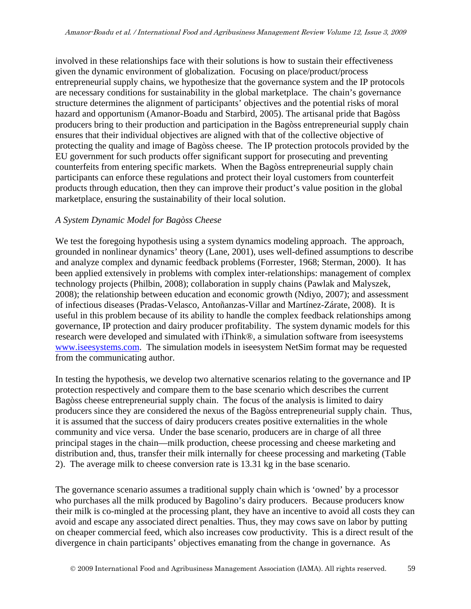involved in these relationships face with their solutions is how to sustain their effectiveness given the dynamic environment of globalization. Focusing on place/product/process entrepreneurial supply chains, we hypothesize that the governance system and the IP protocols are necessary conditions for sustainability in the global marketplace. The chain's governance structure determines the alignment of participants' objectives and the potential risks of moral hazard and opportunism (Amanor-Boadu and Starbird, 2005). The artisanal pride that Bagòss producers bring to their production and participation in the Bagòss entrepreneurial supply chain ensures that their individual objectives are aligned with that of the collective objective of protecting the quality and image of Bagòss cheese. The IP protection protocols provided by the EU government for such products offer significant support for prosecuting and preventing counterfeits from entering specific markets. When the Bagòss entrepreneurial supply chain participants can enforce these regulations and protect their loyal customers from counterfeit products through education, then they can improve their product's value position in the global marketplace, ensuring the sustainability of their local solution.

#### *A System Dynamic Model for Bagòss Cheese*

We test the foregoing hypothesis using a system dynamics modeling approach. The approach, grounded in nonlinear dynamics' theory (Lane, 2001), uses well-defined assumptions to describe and analyze complex and dynamic feedback problems (Forrester, 1968; Sterman, 2000). It has been applied extensively in problems with complex inter-relationships: management of complex technology projects (Philbin, 2008); collaboration in supply chains (Pawlak and Malyszek, 2008); the relationship between education and economic growth (Ndiyo, 2007); and assessment of infectious diseases (Pradas-Velasco, Antoñanzas-Villar and Martínez-Zárate, 2008). It is useful in this problem because of its ability to handle the complex feedback relationships among governance, IP protection and dairy producer profitability. The system dynamic models for this research were developed and simulated with iThink®, a simulation software from iseesystems [www.iseesystems.com.](http://www.iseesystems.com/) The simulation models in iseesystem NetSim format may be requested from the communicating author.

In testing the hypothesis, we develop two alternative scenarios relating to the governance and IP protection respectively and compare them to the base scenario which describes the current Bagòss cheese entrepreneurial supply chain. The focus of the analysis is limited to dairy producers since they are considered the nexus of the Bagòss entrepreneurial supply chain. Thus, it is assumed that the success of dairy producers creates positive externalities in the whole community and vice versa. Under the base scenario, producers are in charge of all three principal stages in the chain—milk production, cheese processing and cheese marketing and distribution and, thus, transfer their milk internally for cheese processing and marketing (Table 2). The average milk to cheese conversion rate is 13.31 kg in the base scenario.

The governance scenario assumes a traditional supply chain which is 'owned' by a processor who purchases all the milk produced by Bagolino's dairy producers. Because producers know their milk is co-mingled at the processing plant, they have an incentive to avoid all costs they can avoid and escape any associated direct penalties. Thus, they may cows save on labor by putting on cheaper commercial feed, which also increases cow productivity. This is a direct result of the divergence in chain participants' objectives emanating from the change in governance. As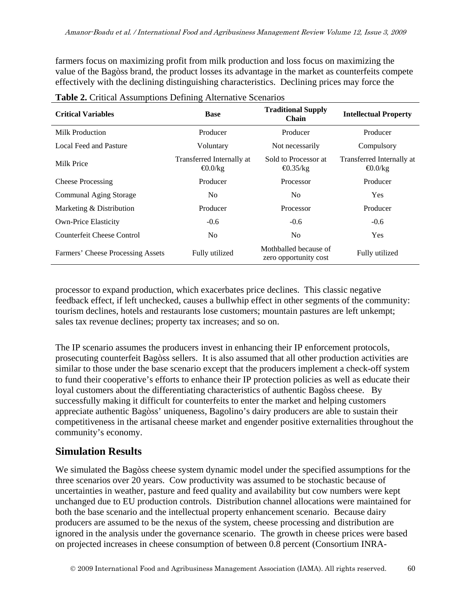farmers focus on maximizing profit from milk production and loss focus on maximizing the value of the Bagòss brand, the product losses its advantage in the market as counterfeits compete effectively with the declining distinguishing characteristics. Declining prices may force the

| <b>Critical Variables</b>         | <b>Base</b>                                 | <b>Traditional Supply</b><br><b>Chain</b>      | <b>Intellectual Property</b>                |  |
|-----------------------------------|---------------------------------------------|------------------------------------------------|---------------------------------------------|--|
| Milk Production                   | Producer                                    | Producer                                       | Producer                                    |  |
| Local Feed and Pasture            | Voluntary                                   | Not necessarily                                | Compulsory                                  |  |
| Milk Price                        | Transferred Internally at<br>$\Theta$ .0/kg | Sold to Processor at<br>$\Theta$ .35/kg        | Transferred Internally at<br>$\Theta$ .0/kg |  |
| <b>Cheese Processing</b>          | Producer                                    | Processor                                      | Producer                                    |  |
| Communal Aging Storage            | N <sub>0</sub>                              | No.                                            | <b>Yes</b>                                  |  |
| Marketing & Distribution          | Producer                                    | Processor                                      | Producer                                    |  |
| <b>Own-Price Elasticity</b>       | $-0.6$                                      | $-0.6$                                         | $-0.6$                                      |  |
| Counterfeit Cheese Control        | N <sub>0</sub>                              | N <sub>0</sub>                                 | <b>Yes</b>                                  |  |
| Farmers' Cheese Processing Assets | Fully utilized                              | Mothballed because of<br>zero opportunity cost | Fully utilized                              |  |

**Table 2.** Critical Assumptions Defining Alternative Scenarios

processor to expand production, which exacerbates price declines. This classic negative feedback effect, if left unchecked, causes a bullwhip effect in other segments of the community: tourism declines, hotels and restaurants lose customers; mountain pastures are left unkempt; sales tax revenue declines; property tax increases; and so on.

The IP scenario assumes the producers invest in enhancing their IP enforcement protocols, prosecuting counterfeit Bagòss sellers. It is also assumed that all other production activities are similar to those under the base scenario except that the producers implement a check-off system to fund their cooperative's efforts to enhance their IP protection policies as well as educate their loyal customers about the differentiating characteristics of authentic Bagòss cheese. By successfully making it difficult for counterfeits to enter the market and helping customers appreciate authentic Bagòss' uniqueness, Bagolino's dairy producers are able to sustain their competitiveness in the artisanal cheese market and engender positive externalities throughout the community's economy.

### **Simulation Results**

We simulated the Bagòss cheese system dynamic model under the specified assumptions for the three scenarios over 20 years. Cow productivity was assumed to be stochastic because of uncertainties in weather, pasture and feed quality and availability but cow numbers were kept unchanged due to EU production controls. Distribution channel allocations were maintained for both the base scenario and the intellectual property enhancement scenario. Because dairy producers are assumed to be the nexus of the system, cheese processing and distribution are ignored in the analysis under the governance scenario. The growth in cheese prices were based on projected increases in cheese consumption of between 0.8 percent (Consortium INRA-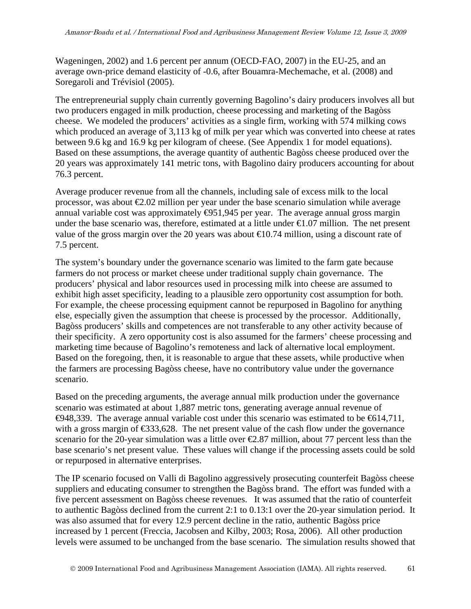Wageningen, 2002) and 1.6 percent per annum (OECD-FAO, 2007) in the EU-25, and an average own-price demand elasticity of -0.6, after Bouamra-Mechemache, et al. (2008) and Soregaroli and Trévisiol (2005).

The entrepreneurial supply chain currently governing Bagolino's dairy producers involves all but two producers engaged in milk production, cheese processing and marketing of the Bagòss cheese. We modeled the producers' activities as a single firm, working with 574 milking cows which produced an average of 3,113 kg of milk per year which was converted into cheese at rates between 9.6 kg and 16.9 kg per kilogram of cheese. (See Appendix 1 for model equations). Based on these assumptions, the average quantity of authentic Bagòss cheese produced over the 20 years was approximately 141 metric tons, with Bagolino dairy producers accounting for about 76.3 percent.

Average producer revenue from all the channels, including sale of excess milk to the local processor, was about  $\epsilon 2.02$  million per year under the base scenario simulation while average annual variable cost was approximately  $\bigoplus$ 51,945 per year. The average annual gross margin under the base scenario was, therefore, estimated at a little under  $\epsilon 1.07$  million. The net present value of the gross margin over the 20 years was about  $\epsilon 0.74$  million, using a discount rate of 7.5 percent.

The system's boundary under the governance scenario was limited to the farm gate because farmers do not process or market cheese under traditional supply chain governance. The producers' physical and labor resources used in processing milk into cheese are assumed to exhibit high asset specificity, leading to a plausible zero opportunity cost assumption for both. For example, the cheese processing equipment cannot be repurposed in Bagolino for anything else, especially given the assumption that cheese is processed by the processor. Additionally, Bagòss producers' skills and competences are not transferable to any other activity because of their specificity. A zero opportunity cost is also assumed for the farmers' cheese processing and marketing time because of Bagolino's remoteness and lack of alternative local employment. Based on the foregoing, then, it is reasonable to argue that these assets, while productive when the farmers are processing Bagòss cheese, have no contributory value under the governance scenario.

Based on the preceding arguments, the average annual milk production under the governance scenario was estimated at about 1,887 metric tons, generating average annual revenue of €948,339. The average annual variable cost under this scenario was estimated to be €614,711, with a gross margin of  $\epsilon$ 33,628. The net present value of the cash flow under the governance scenario for the 20-year simulation was a little over €2.87 million, about 77 percent less than the base scenario's net present value. These values will change if the processing assets could be sold or repurposed in alternative enterprises.

The IP scenario focused on Valli di Bagolino aggressively prosecuting counterfeit Bagòss cheese suppliers and educating consumer to strengthen the Bagòss brand. The effort was funded with a five percent assessment on Bagòss cheese revenues. It was assumed that the ratio of counterfeit to authentic Bagòss declined from the current 2:1 to 0.13:1 over the 20-year simulation period. It was also assumed that for every 12.9 percent decline in the ratio, authentic Bagòss price increased by 1 percent (Freccia, Jacobsen and Kilby, 2003; Rosa, 2006). All other production levels were assumed to be unchanged from the base scenario. The simulation results showed that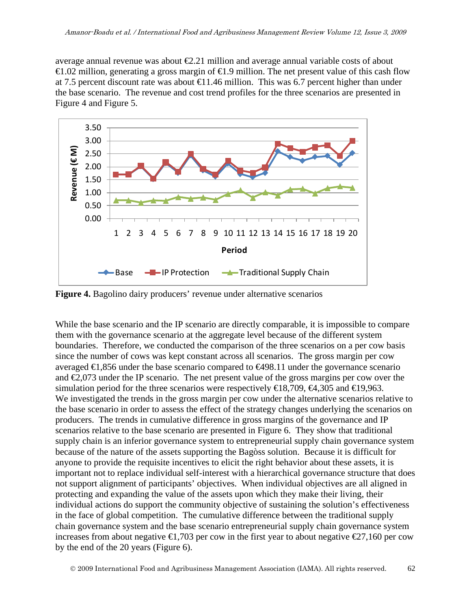average annual revenue was about  $\epsilon 2.21$  million and average annual variable costs of about €1.02 million, generating a gross margin of €1.9 million. The net present value of this cash flow at 7.5 percent discount rate was about  $\bigoplus$  1.46 million. This was 6.7 percent higher than under the base scenario. The revenue and cost trend profiles for the three scenarios are presented in Figure 4 and Figure 5.



**Figure 4.** Bagolino dairy producers' revenue under alternative scenarios

While the base scenario and the IP scenario are directly comparable, it is impossible to compare them with the governance scenario at the aggregate level because of the different system boundaries. Therefore, we conducted the comparison of the three scenarios on a per cow basis since the number of cows was kept constant across all scenarios. The gross margin per cow averaged  $\bigoplus$ , 856 under the base scenario compared to  $\bigoplus$ 98.11 under the governance scenario and  $\epsilon$ ,073 under the IP scenario. The net present value of the gross margins per cow over the simulation period for the three scenarios were respectively  $\in$ 18,709,  $\in$ 4,305 and  $\in$ 19,963. We investigated the trends in the gross margin per cow under the alternative scenarios relative to the base scenario in order to assess the effect of the strategy changes underlying the scenarios on producers. The trends in cumulative difference in gross margins of the governance and IP scenarios relative to the base scenario are presented in Figure 6. They show that traditional supply chain is an inferior governance system to entrepreneurial supply chain governance system because of the nature of the assets supporting the Bagòss solution. Because it is difficult for anyone to provide the requisite incentives to elicit the right behavior about these assets, it is important not to replace individual self-interest with a hierarchical governance structure that does not support alignment of participants' objectives. When individual objectives are all aligned in protecting and expanding the value of the assets upon which they make their living, their individual actions do support the community objective of sustaining the solution's effectiveness in the face of global competition. The cumulative difference between the traditional supply chain governance system and the base scenario entrepreneurial supply chain governance system increases from about negative  $\bigoplus$ , 703 per cow in the first year to about negative  $\bigoplus$ 7,160 per cow by the end of the 20 years (Figure 6).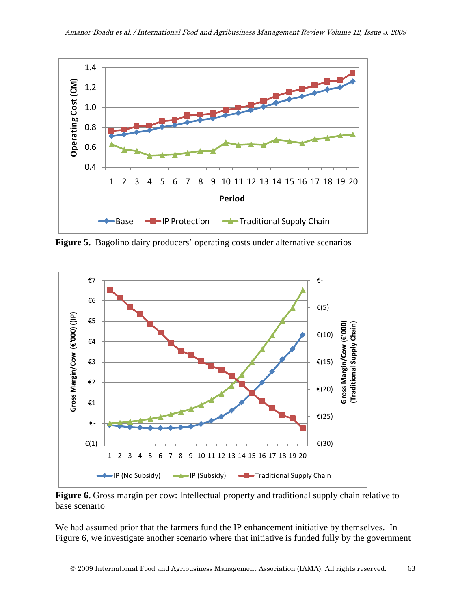

**Figure 5.** Bagolino dairy producers' operating costs under alternative scenarios



**Figure 6.** Gross margin per cow: Intellectual property and traditional supply chain relative to base scenario

We had assumed prior that the farmers fund the IP enhancement initiative by themselves. In Figure 6, we investigate another scenario where that initiative is funded fully by the government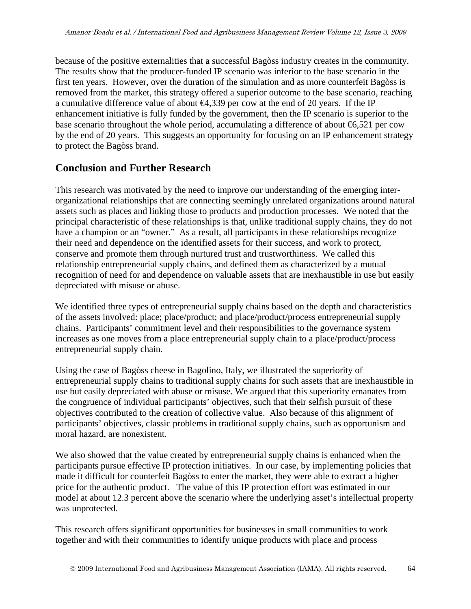because of the positive externalities that a successful Bagòss industry creates in the community. The results show that the producer-funded IP scenario was inferior to the base scenario in the first ten years. However, over the duration of the simulation and as more counterfeit Bagòss is removed from the market, this strategy offered a superior outcome to the base scenario, reaching a cumulative difference value of about  $\bigoplus$ , 339 per cow at the end of 20 years. If the IP enhancement initiative is fully funded by the government, then the IP scenario is superior to the base scenario throughout the whole period, accumulating a difference of about  $\epsilon$ 6,521 per cow by the end of 20 years. This suggests an opportunity for focusing on an IP enhancement strategy to protect the Bagòss brand.

### **Conclusion and Further Research**

This research was motivated by the need to improve our understanding of the emerging interorganizational relationships that are connecting seemingly unrelated organizations around natural assets such as places and linking those to products and production processes. We noted that the principal characteristic of these relationships is that, unlike traditional supply chains, they do not have a champion or an "owner." As a result, all participants in these relationships recognize their need and dependence on the identified assets for their success, and work to protect, conserve and promote them through nurtured trust and trustworthiness. We called this relationship entrepreneurial supply chains, and defined them as characterized by a mutual recognition of need for and dependence on valuable assets that are inexhaustible in use but easily depreciated with misuse or abuse.

We identified three types of entrepreneurial supply chains based on the depth and characteristics of the assets involved: place; place/product; and place/product/process entrepreneurial supply chains. Participants' commitment level and their responsibilities to the governance system increases as one moves from a place entrepreneurial supply chain to a place/product/process entrepreneurial supply chain.

Using the case of Bagòss cheese in Bagolino, Italy, we illustrated the superiority of entrepreneurial supply chains to traditional supply chains for such assets that are inexhaustible in use but easily depreciated with abuse or misuse. We argued that this superiority emanates from the congruence of individual participants' objectives, such that their selfish pursuit of these objectives contributed to the creation of collective value. Also because of this alignment of participants' objectives, classic problems in traditional supply chains, such as opportunism and moral hazard, are nonexistent.

We also showed that the value created by entrepreneurial supply chains is enhanced when the participants pursue effective IP protection initiatives. In our case, by implementing policies that made it difficult for counterfeit Bagòss to enter the market, they were able to extract a higher price for the authentic product. The value of this IP protection effort was estimated in our model at about 12.3 percent above the scenario where the underlying asset's intellectual property was unprotected.

This research offers significant opportunities for businesses in small communities to work together and with their communities to identify unique products with place and process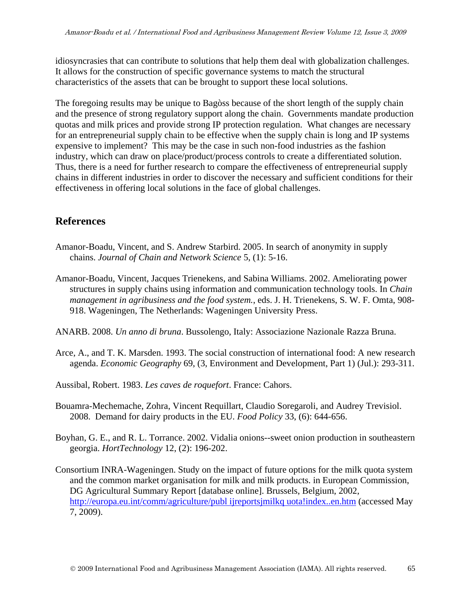idiosyncrasies that can contribute to solutions that help them deal with globalization challenges. It allows for the construction of specific governance systems to match the structural characteristics of the assets that can be brought to support these local solutions.

The foregoing results may be unique to Bagòss because of the short length of the supply chain and the presence of strong regulatory support along the chain. Governments mandate production quotas and milk prices and provide strong IP protection regulation. What changes are necessary for an entrepreneurial supply chain to be effective when the supply chain is long and IP systems expensive to implement? This may be the case in such non-food industries as the fashion industry, which can draw on place/product/process controls to create a differentiated solution. Thus, there is a need for further research to compare the effectiveness of entrepreneurial supply chains in different industries in order to discover the necessary and sufficient conditions for their effectiveness in offering local solutions in the face of global challenges.

### **References**

- Amanor-Boadu, Vincent, and S. Andrew Starbird. 2005. In search of anonymity in supply chains. *Journal of Chain and Network Science* 5, (1): 5-16.
- Amanor-Boadu, Vincent, Jacques Trienekens, and Sabina Williams. 2002. Ameliorating power structures in supply chains using information and communication technology tools. In *Chain management in agribusiness and the food system.*, eds. J. H. Trienekens, S. W. F. Omta, 908- 918. Wageningen, The Netherlands: Wageningen University Press.
- ANARB. 2008. *Un anno di bruna*. Bussolengo, Italy: Associazione Nazionale Razza Bruna.
- Arce, A., and T. K. Marsden. 1993. The social construction of international food: A new research agenda. *Economic Geography* 69, (3, Environment and Development, Part 1) (Jul.): 293-311.
- Aussibal, Robert. 1983. *Les caves de roquefort*. France: Cahors.
- Bouamra-Mechemache, Zohra, Vincent Requillart, Claudio Soregaroli, and Audrey Trevisiol. 2008. Demand for dairy products in the EU. *Food Policy* 33, (6): 644-656.
- Boyhan, G. E., and R. L. Torrance. 2002. Vidalia onions--sweet onion production in southeastern georgia. *HortTechnology* 12, (2): 196-202.
- Consortium INRA-Wageningen. Study on the impact of future options for the milk quota system and the common market organisation for milk and milk products. in European Commission, DG Agricultural Summary Report [database online]. Brussels, Belgium, 2002, [http://europa.eu.int/comm/agriculture/publ ijreportsjmilkq uota!index..en.htm](http://europa.eu.int/comm/agriculture/publ%20ijreportsjmilkq%20uota!index..en.htm) (accessed May 7, 2009).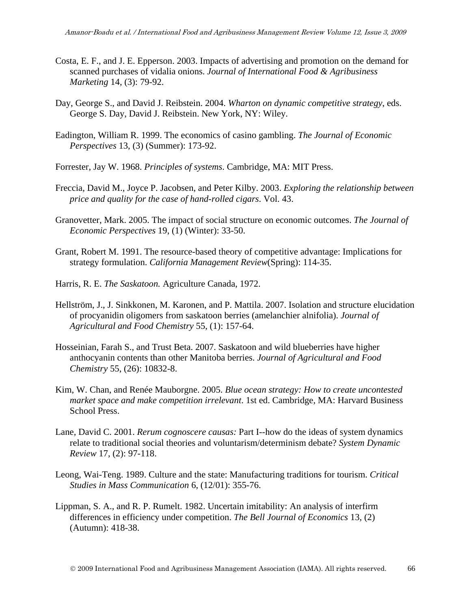- Costa, E. F., and J. E. Epperson. 2003. Impacts of advertising and promotion on the demand for scanned purchases of vidalia onions. *Journal of International Food & Agribusiness Marketing* 14, (3): 79-92.
- Day, George S., and David J. Reibstein. 2004. *Wharton on dynamic competitive strategy*, eds. George S. Day, David J. Reibstein. New York, NY: Wiley.
- Eadington, William R. 1999. The economics of casino gambling. *The Journal of Economic Perspectives* 13, (3) (Summer): 173-92.
- Forrester, Jay W. 1968. *Principles of systems*. Cambridge, MA: MIT Press.
- Freccia, David M., Joyce P. Jacobsen, and Peter Kilby. 2003. *Exploring the relationship between price and quality for the case of hand-rolled cigars*. Vol. 43.
- Granovetter, Mark. 2005. The impact of social structure on economic outcomes. *The Journal of Economic Perspectives* 19, (1) (Winter): 33-50.
- Grant, Robert M. 1991. The resource-based theory of competitive advantage: Implications for strategy formulation. *California Management Review*(Spring): 114-35.
- Harris, R. E. *The Saskatoon.* Agriculture Canada, 1972.
- Hellström, J., J. Sinkkonen, M. Karonen, and P. Mattila. 2007. Isolation and structure elucidation of procyanidin oligomers from saskatoon berries (amelanchier alnifolia). *Journal of Agricultural and Food Chemistry* 55, (1): 157-64.
- Hosseinian, Farah S., and Trust Beta. 2007. Saskatoon and wild blueberries have higher anthocyanin contents than other Manitoba berries. *Journal of Agricultural and Food Chemistry* 55, (26): 10832-8.
- Kim, W. Chan, and Renée Mauborgne. 2005. *Blue ocean strategy: How to create uncontested market space and make competition irrelevant*. 1st ed. Cambridge, MA: Harvard Business School Press.
- Lane, David C. 2001. *Rerum cognoscere causas:* Part I--how do the ideas of system dynamics relate to traditional social theories and voluntarism/determinism debate? *System Dynamic Review* 17, (2): 97-118.
- Leong, Wai-Teng. 1989. Culture and the state: Manufacturing traditions for tourism. *Critical Studies in Mass Communication* 6, (12/01): 355-76.
- Lippman, S. A., and R. P. Rumelt. 1982. Uncertain imitability: An analysis of interfirm differences in efficiency under competition. *The Bell Journal of Economics* 13, (2) (Autumn): 418-38.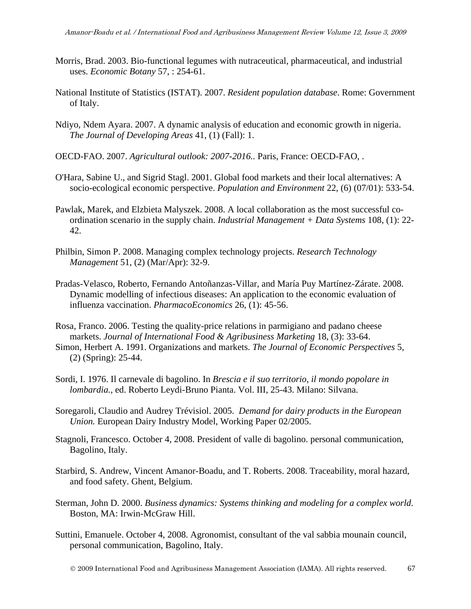- Morris, Brad. 2003. Bio-functional legumes with nutraceutical, pharmaceutical, and industrial uses. *Economic Botany* 57, : 254-61.
- National Institute of Statistics (ISTAT). 2007. *Resident population database*. Rome: Government of Italy.
- Ndiyo, Ndem Ayara. 2007. A dynamic analysis of education and economic growth in nigeria. *The Journal of Developing Areas* 41, (1) (Fall): 1.
- OECD-FAO. 2007. *Agricultural outlook: 2007-2016..* Paris, France: OECD-FAO, .
- O'Hara, Sabine U., and Sigrid Stagl. 2001. Global food markets and their local alternatives: A socio-ecological economic perspective. *Population and Environment* 22, (6) (07/01): 533-54.
- Pawlak, Marek, and Elzbieta Malyszek. 2008. A local collaboration as the most successful coordination scenario in the supply chain. *Industrial Management + Data Systems* 108, (1): 22- 42.
- Philbin, Simon P. 2008. Managing complex technology projects. *Research Technology Management* 51, (2) (Mar/Apr): 32-9.
- Pradas-Velasco, Roberto, Fernando Antoñanzas-Villar, and María Puy Martínez-Zárate. 2008. Dynamic modelling of infectious diseases: An application to the economic evaluation of influenza vaccination. *PharmacoEconomics* 26, (1): 45-56.
- Rosa, Franco. 2006. Testing the quality-price relations in parmigiano and padano cheese markets. *Journal of International Food & Agribusiness Marketing* 18, (3): 33-64.
- Simon, Herbert A. 1991. Organizations and markets. *The Journal of Economic Perspectives* 5, (2) (Spring): 25-44.
- Sordi, I. 1976. Il carnevale di bagolino. In *Brescia e il suo territorio, il mondo popolare in lombardia.*, ed. Roberto Leydi-Bruno Pianta. Vol. III, 25-43. Milano: Silvana.
- Soregaroli, Claudio and Audrey Trévisiol. 2005. *Demand for dairy products in the European Union.* European Dairy Industry Model, Working Paper 02/2005.
- Stagnoli, Francesco. October 4, 2008. President of valle di bagolino. personal communication, Bagolino, Italy.
- Starbird, S. Andrew, Vincent Amanor-Boadu, and T. Roberts. 2008. Traceability, moral hazard, and food safety. Ghent, Belgium.
- Sterman, John D. 2000. *Business dynamics: Systems thinking and modeling for a complex world*. Boston, MA: Irwin-McGraw Hill.
- Suttini, Emanuele. October 4, 2008. Agronomist, consultant of the val sabbia mounain council, personal communication, Bagolino, Italy.